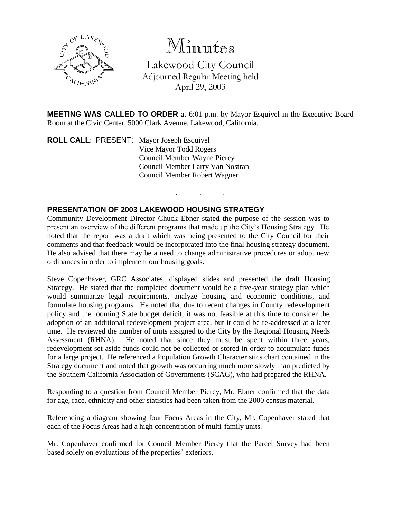

Minutes

Lakewood City Council Adjourned Regular Meeting held April 29, 2003

**MEETING WAS CALLED TO ORDER** at 6:01 p.m. by Mayor Esquivel in the Executive Board Room at the Civic Center, 5000 Clark Avenue, Lakewood, California.

. . .

**ROLL CALL**: PRESENT: Mayor Joseph Esquivel Vice Mayor Todd Rogers Council Member Wayne Piercy Council Member Larry Van Nostran Council Member Robert Wagner

## **PRESENTATION OF 2003 LAKEWOOD HOUSING STRATEGY**

Community Development Director Chuck Ebner stated the purpose of the session was to present an overview of the different programs that made up the City's Housing Strategy. He noted that the report was a draft which was being presented to the City Council for their comments and that feedback would be incorporated into the final housing strategy document. He also advised that there may be a need to change administrative procedures or adopt new ordinances in order to implement our housing goals.

Steve Copenhaver, GRC Associates, displayed slides and presented the draft Housing Strategy. He stated that the completed document would be a five-year strategy plan which would summarize legal requirements, analyze housing and economic conditions, and formulate housing programs. He noted that due to recent changes in County redevelopment policy and the looming State budget deficit, it was not feasible at this time to consider the adoption of an additional redevelopment project area, but it could be re-addressed at a later time. He reviewed the number of units assigned to the City by the Regional Housing Needs Assessment (RHNA). He noted that since they must be spent within three years, redevelopment set-aside funds could not be collected or stored in order to accumulate funds for a large project. He referenced a Population Growth Characteristics chart contained in the Strategy document and noted that growth was occurring much more slowly than predicted by the Southern California Association of Governments (SCAG), who had prepared the RHNA.

Responding to a question from Council Member Piercy, Mr. Ebner confirmed that the data for age, race, ethnicity and other statistics had been taken from the 2000 census material.

Referencing a diagram showing four Focus Areas in the City, Mr. Copenhaver stated that each of the Focus Areas had a high concentration of multi-family units.

Mr. Copenhaver confirmed for Council Member Piercy that the Parcel Survey had been based solely on evaluations of the properties' exteriors.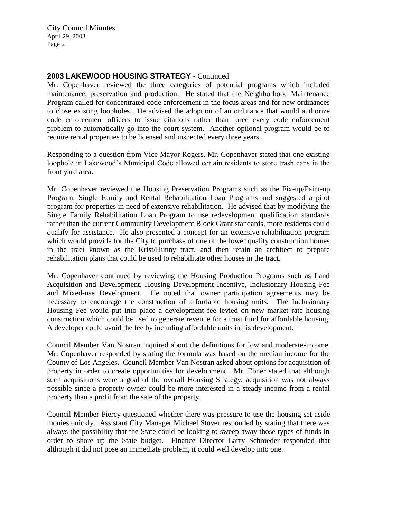City Council Minutes April 29, 2003 Page 2

## **2003 LAKEWOOD HOUSING STRATEGY** - Continued

Mr. Copenhaver reviewed the three categories of potential programs which included maintenance, preservation and production. He stated that the Neighborhood Maintenance Program called for concentrated code enforcement in the focus areas and for new ordinances to close existing loopholes. He advised the adoption of an ordinance that would authorize code enforcement officers to issue citations rather than force every code enforcement problem to automatically go into the court system. Another optional program would be to require rental properties to be licensed and inspected every three years.

Responding to a question from Vice Mayor Rogers, Mr. Copenhaver stated that one existing loophole in Lakewood's Municipal Code allowed certain residents to store trash cans in the front yard area.

Mr. Copenhaver reviewed the Housing Preservation Programs such as the Fix-up/Paint-up Program, Single Family and Rental Rehabilitation Loan Programs and suggested a pilot program for properties in need of extensive rehabilitation. He advised that by modifying the Single Family Rehabilitation Loan Program to use redevelopment qualification standards rather than the current Community Development Block Grant standards, more residents could qualify for assistance. He also presented a concept for an extensive rehabilitation program which would provide for the City to purchase of one of the lower quality construction homes in the tract known as the Krist/Hunny tract, and then retain an architect to prepare rehabilitation plans that could be used to rehabilitate other houses in the tract.

Mr. Copenhaver continued by reviewing the Housing Production Programs such as Land Acquisition and Development, Housing Development Incentive, Inclusionary Housing Fee and Mixed-use Development. He noted that owner participation agreements may be necessary to encourage the construction of affordable housing units. The Inclusionary Housing Fee would put into place a development fee levied on new market rate housing construction which could be used to generate revenue for a trust fund for affordable housing. A developer could avoid the fee by including affordable units in his development.

Council Member Van Nostran inquired about the definitions for low and moderate-income. Mr. Copenhaver responded by stating the formula was based on the median income for the County of Los Angeles. Council Member Van Nostran asked about options for acquisition of property in order to create opportunities for development. Mr. Ebner stated that although such acquisitions were a goal of the overall Housing Strategy, acquisition was not always possible since a property owner could be more interested in a steady income from a rental property than a profit from the sale of the property.

Council Member Piercy questioned whether there was pressure to use the housing set-aside monies quickly. Assistant City Manager Michael Stover responded by stating that there was always the possibility that the State could be looking to sweep away those types of funds in order to shore up the State budget. Finance Director Larry Schroeder responded that although it did not pose an immediate problem, it could well develop into one.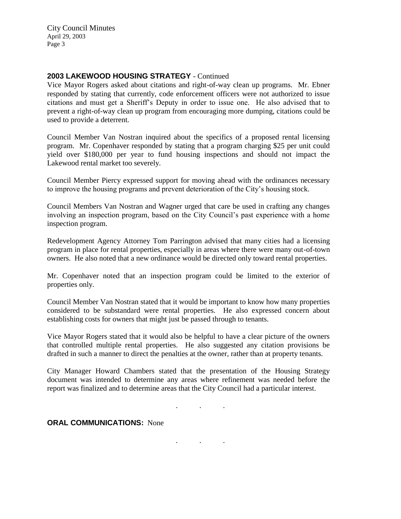City Council Minutes April 29, 2003 Page 3

## **2003 LAKEWOOD HOUSING STRATEGY** - Continued

Vice Mayor Rogers asked about citations and right-of-way clean up programs. Mr. Ebner responded by stating that currently, code enforcement officers were not authorized to issue citations and must get a Sheriff's Deputy in order to issue one. He also advised that to prevent a right-of-way clean up program from encouraging more dumping, citations could be used to provide a deterrent.

Council Member Van Nostran inquired about the specifics of a proposed rental licensing program. Mr. Copenhaver responded by stating that a program charging \$25 per unit could yield over \$180,000 per year to fund housing inspections and should not impact the Lakewood rental market too severely.

Council Member Piercy expressed support for moving ahead with the ordinances necessary to improve the housing programs and prevent deterioration of the City's housing stock.

Council Members Van Nostran and Wagner urged that care be used in crafting any changes involving an inspection program, based on the City Council's past experience with a home inspection program.

Redevelopment Agency Attorney Tom Parrington advised that many cities had a licensing program in place for rental properties, especially in areas where there were many out-of-town owners. He also noted that a new ordinance would be directed only toward rental properties.

Mr. Copenhaver noted that an inspection program could be limited to the exterior of properties only.

Council Member Van Nostran stated that it would be important to know how many properties considered to be substandard were rental properties. He also expressed concern about establishing costs for owners that might just be passed through to tenants.

Vice Mayor Rogers stated that it would also be helpful to have a clear picture of the owners that controlled multiple rental properties. He also suggested any citation provisions be drafted in such a manner to direct the penalties at the owner, rather than at property tenants.

City Manager Howard Chambers stated that the presentation of the Housing Strategy document was intended to determine any areas where refinement was needed before the report was finalized and to determine areas that the City Council had a particular interest.

. . .

. . .

**ORAL COMMUNICATIONS:** None